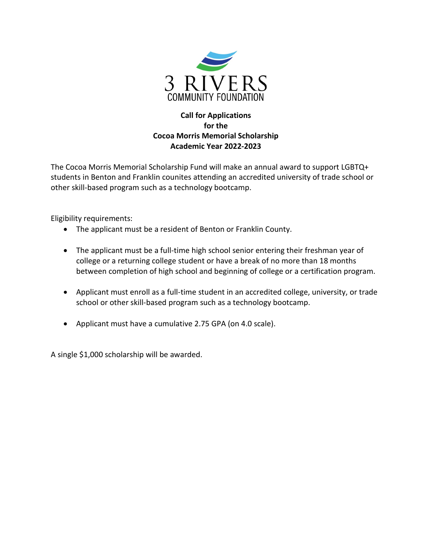

## **Call for Applications for the Cocoa Morris Memorial Scholarship Academic Year 2022-2023**

The Cocoa Morris Memorial Scholarship Fund will make an annual award to support LGBTQ+ students in Benton and Franklin counites attending an accredited university of trade school or other skill-based program such as a technology bootcamp.

Eligibility requirements:

- The applicant must be a resident of Benton or Franklin County.
- The applicant must be a full-time high school senior entering their freshman year of college or a returning college student or have a break of no more than 18 months between completion of high school and beginning of college or a certification program.
- Applicant must enroll as a full-time student in an accredited college, university, or trade school or other skill-based program such as a technology bootcamp.
- Applicant must have a cumulative 2.75 GPA (on 4.0 scale).

A single \$1,000 scholarship will be awarded.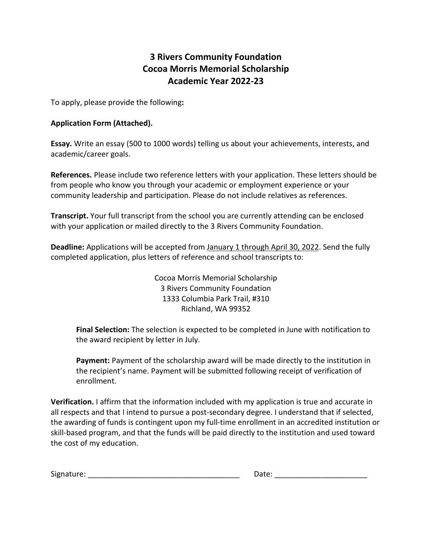## **3 Rivers Community Foundation Cocoa Morris Memorial Scholarship Academic Year 2022-23**

To apply, please provide the following**:** 

## **Application Form (Attached).**

**Essay.** Write an essay (500 to 1000 words) telling us about your achievements, interests, and academic/career goals.

**References.** Please include two reference letters with your application. These letters should be from people who know you through your academic or employment experience or your community leadership and participation. Please do not include relatives as references.

**Transcript.** Your full transcript from the school you are currently attending can be enclosed with your application or mailed directly to the 3 Rivers Community Foundation.

**Deadline:** Applications will be accepted from January 1 through April 30, 2022. Send the fully completed application, plus letters of reference and school transcripts to:

> Cocoa Morris Memorial Scholarship 3 Rivers Community Foundation 1333 Columbia Park Trail, #310 Richland, WA 99352

**Final Selection:** The selection is expected to be completed in June with notification to the award recipient by letter in July.

Payment: Payment of the scholarship award will be made directly to the institution in the recipient's name. Payment will be submitted following receipt of verification of enrollment.

**Verification.** I affirm that the information included with my application is true and accurate in all respects and that I intend to pursue a post-secondary degree. I understand that if selected, the awarding of funds is contingent upon my full-time enrollment in an accredited institution or skill-based program, and that the funds will be paid directly to the institution and used toward the cost of my education.

| - -<br>$\cdot$ nturo $\cdot$<br>Signature: | . |
|--------------------------------------------|---|
|                                            |   |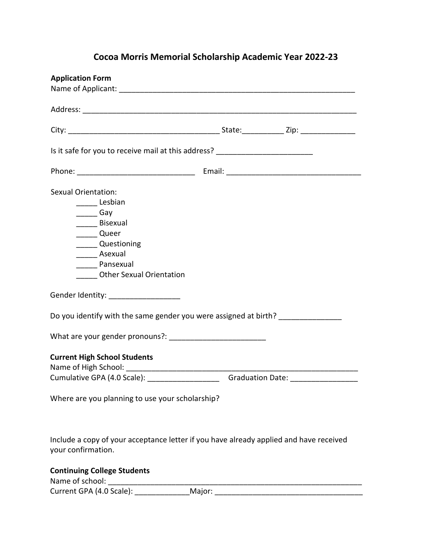## **Cocoa Morris Memorial Scholarship Academic Year 2022-23**

| <b>Application Form</b>                                                                                      |  |
|--------------------------------------------------------------------------------------------------------------|--|
|                                                                                                              |  |
|                                                                                                              |  |
|                                                                                                              |  |
| Is it safe for you to receive mail at this address? ____________________________                             |  |
|                                                                                                              |  |
| Sexual Orientation:                                                                                          |  |
| _______ Lesbian                                                                                              |  |
| Gay                                                                                                          |  |
| Bisexual                                                                                                     |  |
| _____ Queer                                                                                                  |  |
| ______ Questioning                                                                                           |  |
| ________ Asexual                                                                                             |  |
| Pansexual                                                                                                    |  |
| <b>Other Sexual Orientation</b>                                                                              |  |
|                                                                                                              |  |
| Gender Identity: _____________________                                                                       |  |
| Do you identify with the same gender you were assigned at birth?                                             |  |
|                                                                                                              |  |
| <b>Current High School Students</b>                                                                          |  |
| Cumulative GPA (4.0 Scale): _________________________Graduation Date: __________                             |  |
|                                                                                                              |  |
| Where are you planning to use your scholarship?                                                              |  |
| Include a copy of your acceptance letter if you have already applied and have received<br>your confirmation. |  |
| <b>Continuing College Students</b>                                                                           |  |

Current GPA (4.0 Scale): \_\_\_\_\_\_\_\_\_\_\_\_\_\_\_\_Major: \_\_\_\_\_\_\_\_\_\_\_\_\_\_\_\_\_\_\_\_\_\_\_\_\_\_\_\_\_\_\_\_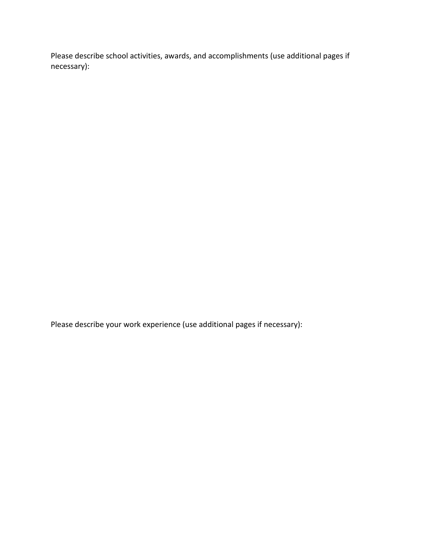Please describe school activities, awards, and accomplishments (use additional pages if necessary):

Please describe your work experience (use additional pages if necessary):